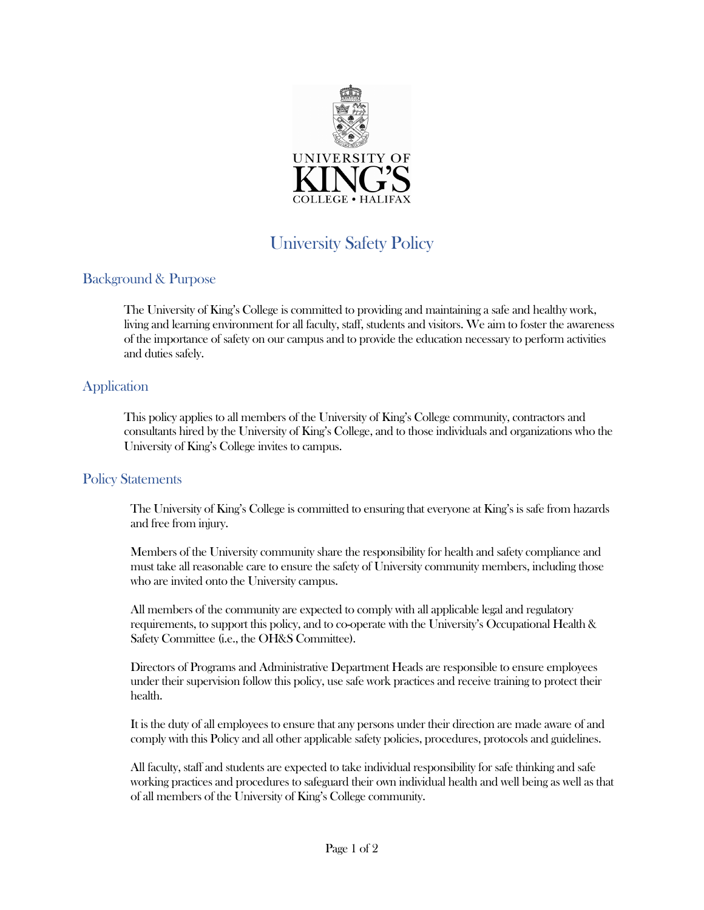

# University Safety Policy

## Background & Purpose

The University of King's College is committed to providing and maintaining a safe and healthy work, living and learning environment for all faculty, staff, students and visitors. We aim to foster the awareness of the importance of safety on our campus and to provide the education necessary to perform activities and duties safely.

#### **Application**

This policy applies to all members of the University of King's College community, contractors and consultants hired by the University of King's College, and to those individuals and organizations who the University of King's College invites to campus.

#### Policy Statements

The University of King's College is committed to ensuring that everyone at King's is safe from hazards and free from injury.

Members of the University community share the responsibility for health and safety compliance and must take all reasonable care to ensure the safety of University community members, including those who are invited onto the University campus.

All members of the community are expected to comply with all applicable legal and regulatory requirements, to support this policy, and to co-operate with the University's Occupational Health & Safety Committee (i.e., the OH&S Committee).

Directors of Programs and Administrative Department Heads are responsible to ensure employees under their supervision follow this policy, use safe work practices and receive training to protect their health.

It is the duty of all employees to ensure that any persons under their direction are made aware of and comply with this Policy and all other applicable safety policies, procedures, protocols and guidelines.

All faculty, staff and students are expected to take individual responsibility for safe thinking and safe working practices and procedures to safeguard their own individual health and well being as well as that of all members of the University of King's College community.